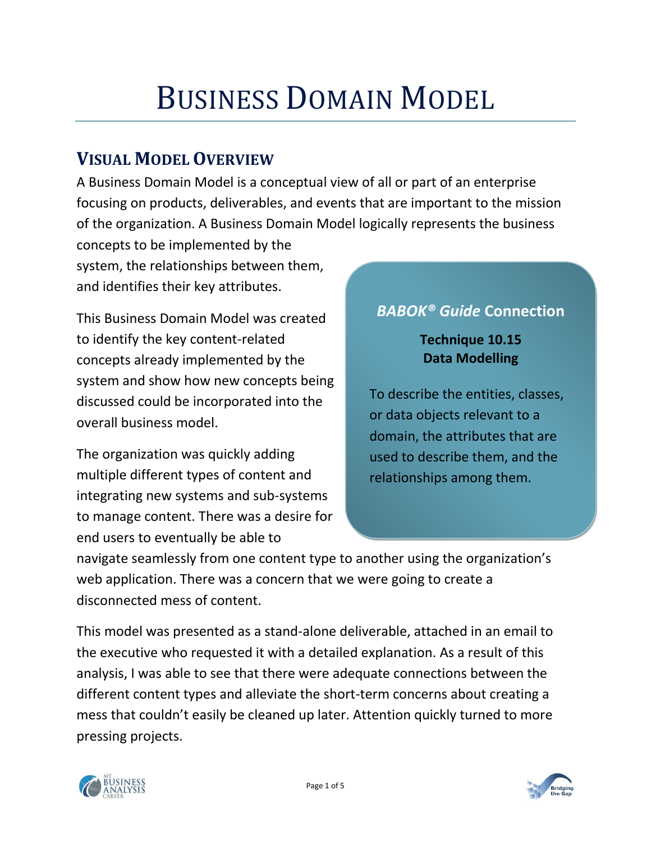# BUSINESS DOMAIN MODEL

### **VISUAL MODEL OVERVIEW**

A Business Domain Model is a conceptual view of all or part of an enterprise focusing on products, deliverables, and events that are important to the mission of the organization. A Business Domain Model logically represents the business

concepts to be implemented by the system, the relationships between them, and identifies their key attributes.

This Business Domain Model was created to identify the key content-related concepts already implemented by the system and show how new concepts being discussed could be incorporated into the overall business model.

The organization was quickly adding multiple different types of content and integrating new systems and sub-systems to manage content. There was a desire for end users to eventually be able to

#### *BABOK® Guide* **Connection**

#### **Technique 10.15 Data Modelling**

To describe the entities, classes, or data objects relevant to a domain, the attributes that are used to describe them, and the relationships among them.

navigate seamlessly from one content type to another using the organization's web application. There was a concern that we were going to create a disconnected mess of content.

This model was presented as a stand-alone deliverable, attached in an email to the executive who requested it with a detailed explanation. As a result of this analysis, I was able to see that there were adequate connections between the different content types and alleviate the short-term concerns about creating a mess that couldn't easily be cleaned up later. Attention quickly turned to more pressing projects.



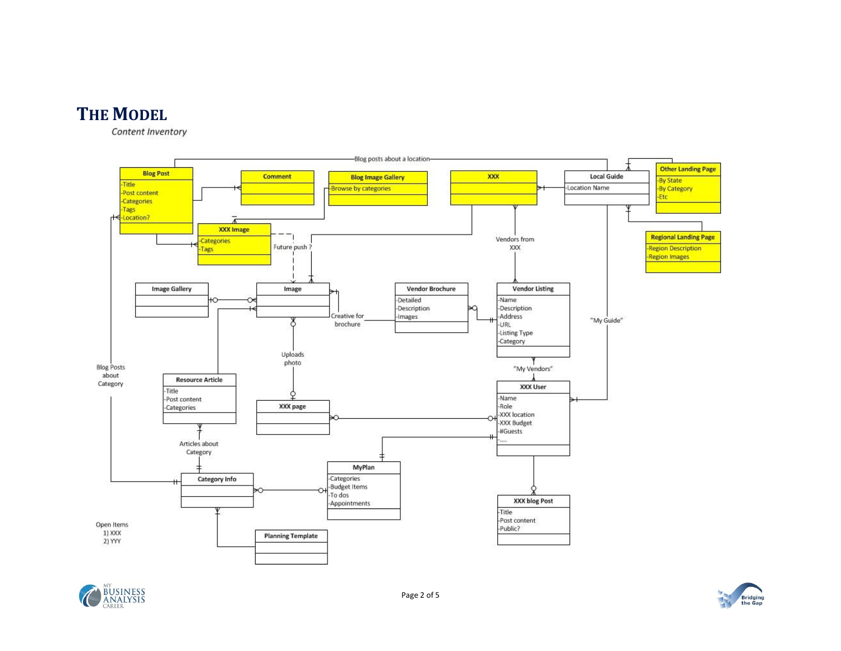

Content Inventory





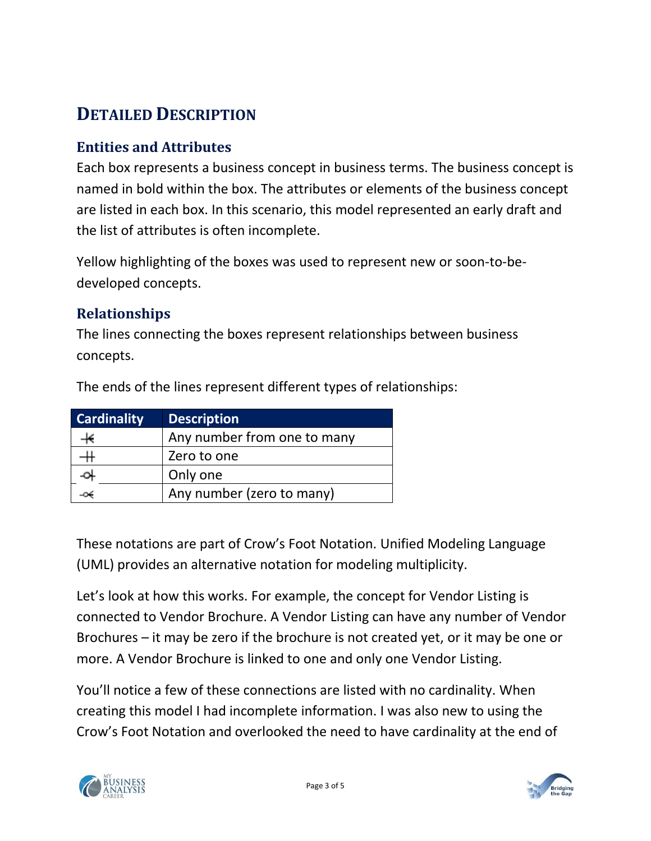# **DETAILED DESCRIPTION**

#### **Entities and Attributes**

Each box represents a business concept in business terms. The business concept is named in bold within the box. The attributes or elements of the business concept are listed in each box. In this scenario, this model represented an early draft and the list of attributes is often incomplete.

Yellow highlighting of the boxes was used to represent new or soon-to-bedeveloped concepts.

#### **Relationships**

The lines connecting the boxes represent relationships between business concepts.

| <b>Cardinality</b> | <b>Description</b>          |
|--------------------|-----------------------------|
|                    | Any number from one to many |
|                    | Zero to one                 |
|                    | Only one                    |
|                    | Any number (zero to many)   |

The ends of the lines represent different types of relationships:

These notations are part of Crow's Foot Notation. Unified Modeling Language (UML) provides an alternative notation for modeling multiplicity.

Let's look at how this works. For example, the concept for Vendor Listing is connected to Vendor Brochure. A Vendor Listing can have any number of Vendor Brochures – it may be zero if the brochure is not created yet, or it may be one or more. A Vendor Brochure is linked to one and only one Vendor Listing.

You'll notice a few of these connections are listed with no cardinality. When creating this model I had incomplete information. I was also new to using the Crow's Foot Notation and overlooked the need to have cardinality at the end of



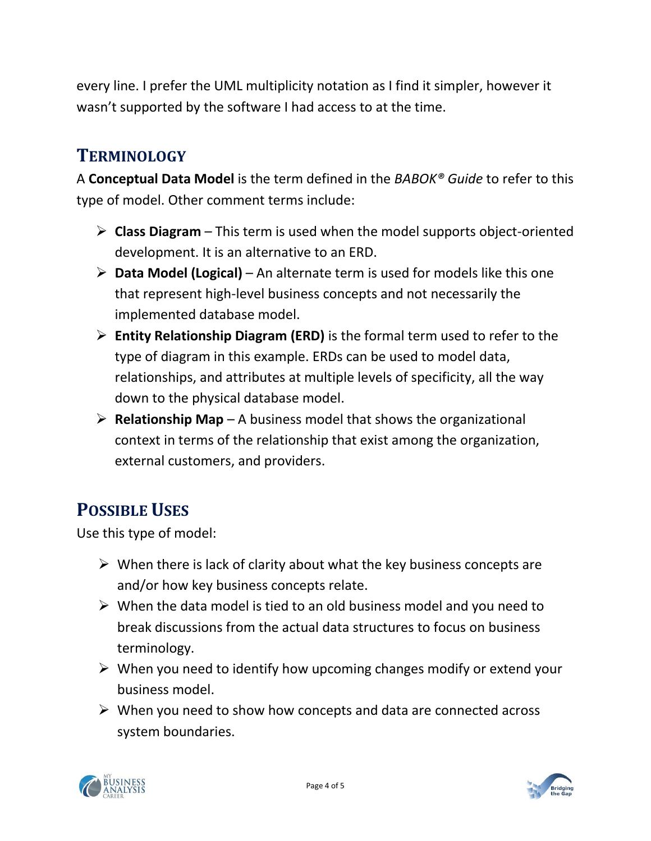every line. I prefer the UML multiplicity notation as I find it simpler, however it wasn't supported by the software I had access to at the time.

## **TERMINOLOGY**

A **Conceptual Data Model** is the term defined in the *BABOK® Guide* to refer to this type of model. Other comment terms include:

- **Class Diagram** This term is used when the model supports object-oriented development. It is an alternative to an ERD.
- **Data Model (Logical)**  An alternate term is used for models like this one that represent high-level business concepts and not necessarily the implemented database model.
- **Entity Relationship Diagram (ERD)** is the formal term used to refer to the type of diagram in this example. ERDs can be used to model data, relationships, and attributes at multiple levels of specificity, all the way down to the physical database model.
- $\triangleright$  **Relationship Map** A business model that shows the organizational context in terms of the relationship that exist among the organization, external customers, and providers.

# **POSSIBLE USES**

Use this type of model:

- $\triangleright$  When there is lack of clarity about what the key business concepts are and/or how key business concepts relate.
- $\triangleright$  When the data model is tied to an old business model and you need to break discussions from the actual data structures to focus on business terminology.
- $\triangleright$  When you need to identify how upcoming changes modify or extend your business model.
- $\triangleright$  When you need to show how concepts and data are connected across system boundaries.